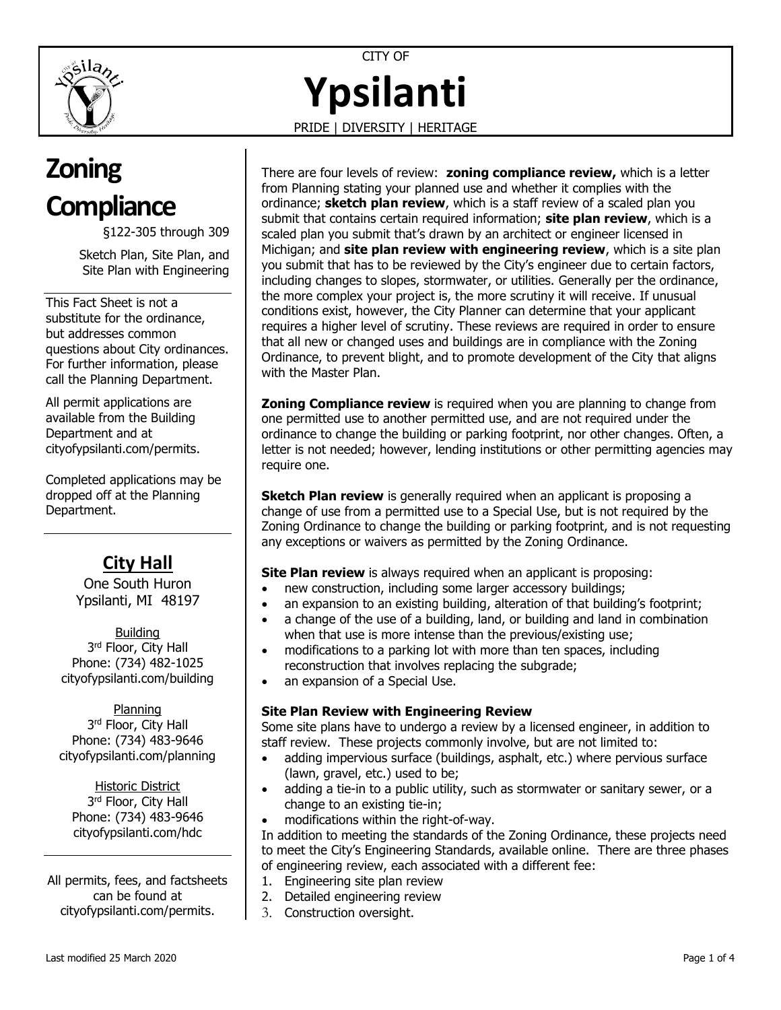

CITY OF **Ypsilanti**

PRIDE | DIVERSITY | HERITAGE

# **Zoning Compliance**

§122-305 through 309 Sketch Plan, Site Plan, and

Site Plan with Engineering

This Fact Sheet is not a substitute for the ordinance, but addresses common questions about City ordinances. For further information, please call the Planning Department.

All permit applications are available from the Building Department and at [cityofypsilanti.com/permits.](http://www.cityofypsilanti.com/permits)

Completed applications may be dropped off at the Planning Department.

# **City Hall**

One South Huron Ypsilanti, MI 48197

Building 3<sup>rd</sup> Floor, City Hall Phone: (734) 482-1025 [cityofypsilanti.com/building](http://www.cityofypsilanti.com/building)

Planning 3<sup>rd</sup> Floor, City Hall Phone: (734) 483-9646 [cityofypsilanti.com/planning](http://www.cityofypsilanti.com/planning)

Historic District 3<sup>rd</sup> Floor, City Hall Phone: (734) 483-9646 [cityofypsilanti.com/hdc](http://www.cityofypsilanti.com/hdc)

All permits, fees, and factsheets can be found at [cityofypsilanti.com/permits.](http://www.cityofypsilanti.com/permits)

There are four levels of review: **zoning compliance review,** which is a letter from Planning stating your planned use and whether it complies with the ordinance; **sketch plan review**, which is a staff review of a scaled plan you submit that contains certain required information; **site plan review**, which is a scaled plan you submit that's drawn by an architect or engineer licensed in Michigan; and **site plan review with engineering review**, which is a site plan you submit that has to be reviewed by the City's engineer due to certain factors, including changes to slopes, stormwater, or utilities. Generally per the ordinance, the more complex your project is, the more scrutiny it will receive. If unusual conditions exist, however, the City Planner can determine that your applicant requires a higher level of scrutiny. These reviews are required in order to ensure that all new or changed uses and buildings are in compliance with the Zoning Ordinance, to prevent blight, and to promote development of the City that aligns with the Master Plan.

**Zoning Compliance review** is required when you are planning to change from one permitted use to another permitted use, and are not required under the ordinance to change the building or parking footprint, nor other changes. Often, a letter is not needed; however, lending institutions or other permitting agencies may require one.

**Sketch Plan review** is generally required when an applicant is proposing a change of use from a permitted use to a Special Use, but is not required by the Zoning Ordinance to change the building or parking footprint, and is not requesting any exceptions or waivers as permitted by the Zoning Ordinance.

**Site Plan review** is always required when an applicant is proposing:

- new construction, including some larger accessory buildings;
- an expansion to an existing building, alteration of that building's footprint;
- a change of the use of a building, land, or building and land in combination when that use is more intense than the previous/existing use;
- modifications to a parking lot with more than ten spaces, including reconstruction that involves replacing the subgrade;
- an expansion of a Special Use.

#### **Site Plan Review with Engineering Review**

Some site plans have to undergo a review by a licensed engineer, in addition to staff review. These projects commonly involve, but are not limited to:

- adding impervious surface (buildings, asphalt, etc.) where pervious surface (lawn, gravel, etc.) used to be;
- adding a tie-in to a public utility, such as stormwater or sanitary sewer, or a change to an existing tie-in;
- modifications within the right-of-way.

In addition to meeting the standards of the Zoning Ordinance, these projects need to meet the City's Engineering Standards, available online. There are three phases of engineering review, each associated with a different fee:

- 1. Engineering site plan review
- 2. Detailed engineering review
- 3. Construction oversight.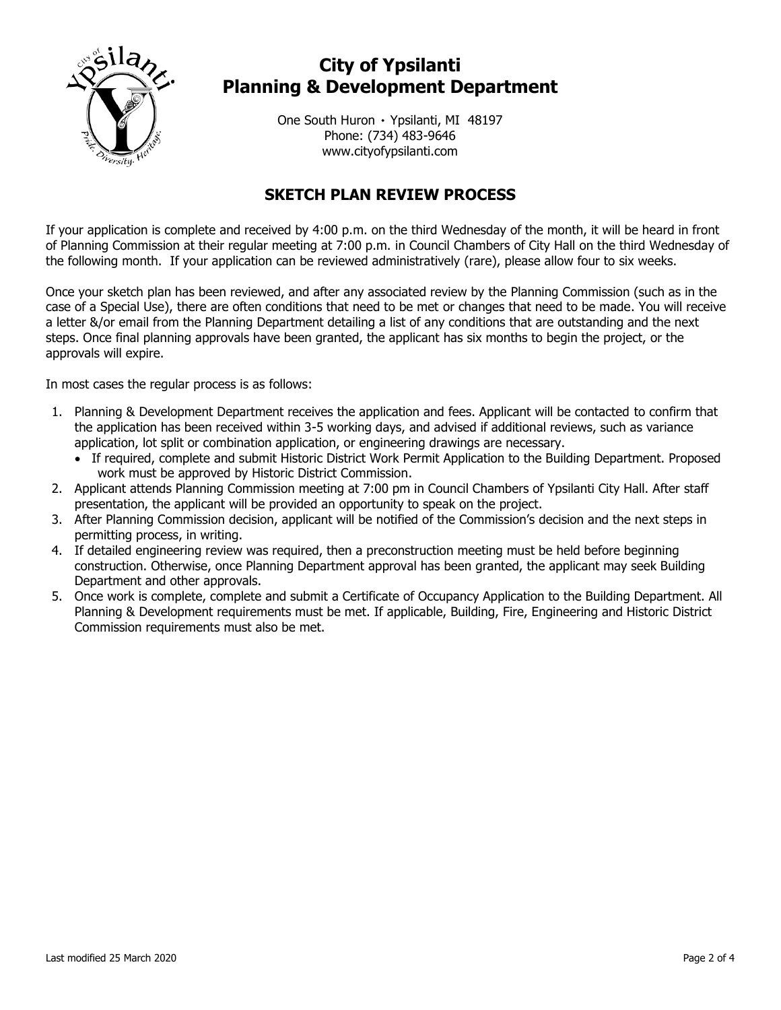

# **City of Ypsilanti Planning & Development Department**

One South Huron ۰ Ypsilanti, MI 48197 Phone: (734) 483-9646 www.cityofypsilanti.com

### **SKETCH PLAN REVIEW PROCESS**

If your application is complete and received by 4:00 p.m. on the third Wednesday of the month, it will be heard in front of Planning Commission at their regular meeting at 7:00 p.m. in Council Chambers of City Hall on the third Wednesday of the following month. If your application can be reviewed administratively (rare), please allow four to six weeks.

Once your sketch plan has been reviewed, and after any associated review by the Planning Commission (such as in the case of a Special Use), there are often conditions that need to be met or changes that need to be made. You will receive a letter &/or email from the Planning Department detailing a list of any conditions that are outstanding and the next steps. Once final planning approvals have been granted, the applicant has six months to begin the project, or the approvals will expire.

In most cases the regular process is as follows:

- 1. Planning & Development Department receives the application and fees. Applicant will be contacted to confirm that the application has been received within 3-5 working days, and advised if additional reviews, such as variance application, lot split or combination application, or engineering drawings are necessary.
	- If required, complete and submit Historic District Work Permit Application to the Building Department. Proposed work must be approved by Historic District Commission.
- 2. Applicant attends Planning Commission meeting at 7:00 pm in Council Chambers of Ypsilanti City Hall. After staff presentation, the applicant will be provided an opportunity to speak on the project.
- 3. After Planning Commission decision, applicant will be notified of the Commission's decision and the next steps in permitting process, in writing.
- 4. If detailed engineering review was required, then a preconstruction meeting must be held before beginning construction. Otherwise, once Planning Department approval has been granted, the applicant may seek Building Department and other approvals.
- 5. Once work is complete, complete and submit a Certificate of Occupancy Application to the Building Department. All Planning & Development requirements must be met. If applicable, Building, Fire, Engineering and Historic District Commission requirements must also be met.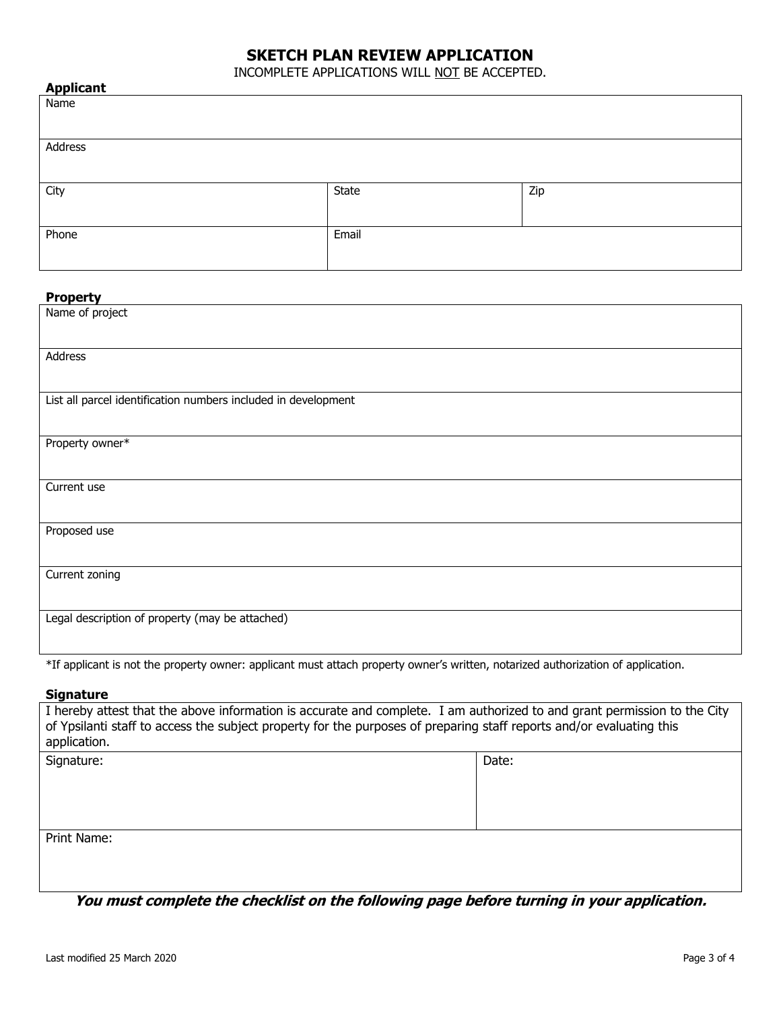#### **SKETCH PLAN REVIEW APPLICATION**

INCOMPLETE APPLICATIONS WILL NOT BE ACCEPTED.

| <b>Applicant</b> |       |     |
|------------------|-------|-----|
| Name             |       |     |
|                  |       |     |
| Address          |       |     |
|                  |       |     |
| City             | State | Zip |
|                  |       |     |
| Phone            | Email |     |
|                  |       |     |

#### **Property**

| Name of project                                                |
|----------------------------------------------------------------|
| Address                                                        |
| List all parcel identification numbers included in development |
| Property owner*                                                |
| Current use                                                    |
| Proposed use                                                   |
| Current zoning                                                 |
| Legal description of property (may be attached)                |

\*If applicant is not the property owner: applicant must attach property owner's written, notarized authorization of application.

#### **Signature**

| I hereby attest that the above information is accurate and complete. I am authorized to and grant permission to the City<br>of Ypsilanti staff to access the subject property for the purposes of preparing staff reports and/or evaluating this<br>application. |       |  |
|------------------------------------------------------------------------------------------------------------------------------------------------------------------------------------------------------------------------------------------------------------------|-------|--|
| Signature:                                                                                                                                                                                                                                                       | Date: |  |
| Print Name:                                                                                                                                                                                                                                                      |       |  |

**You must complete the checklist on the following page before turning in your application.**